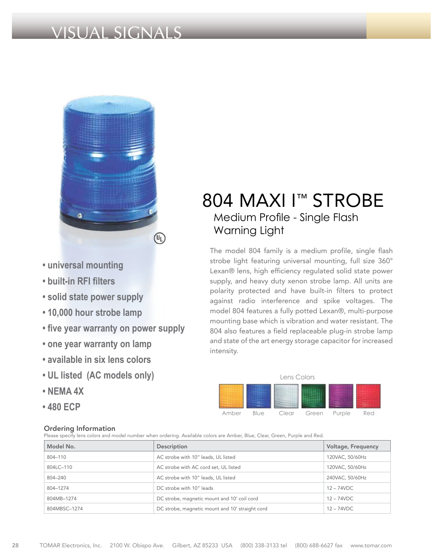# VISUAL SIGNALS



- **universal mounting**
- **built-in RFI filters**
- **solid state power supply**
- **10,000 hour strobe lamp**
- **five year warranty on power supply**
- **one year warranty on lamp**
- **available in six lens colors**
- **UL listed (AC models only)**
- **NEMA 4X**
- **480 ECP**

### Ordering Information

# 804 MAXI I™ STROBE Medium Profile - Single Flash Warning Light

The model 804 family is a medium profile, single flash strobe light featuring universal mounting, full size 360° Lexan® lens, high efficiency regulated solid state power supply, and heavy duty xenon strobe lamp. All units are polarity protected and have built-in filters to protect against radio interference and spike voltages. The model 804 features a fully potted Lexan®, multi-purpose mounting base which is vibration and water resistant. The 804 also features a field replaceable plug-in strobe lamp and state of the art energy storage capacitor for increased intensity.



#### Please specify lens colors and model number when ordering. Available colors are Amber, Blue, Clear, Green, Purple and Red.

| Model No.    | Description                                     | Voltage, Frequency |
|--------------|-------------------------------------------------|--------------------|
| 804-110      | AC strobe with 10" leads, UL listed             | 120VAC, 50/60Hz    |
| 804LC-110    | AC strobe with AC cord set, UL listed           | 120VAC, 50/60Hz    |
| 804-240      | AC strobe with 10" leads, UL listed             | 240VAC, 50/60Hz    |
| 804-1274     | DC strobe with 10" leads                        | $12 - 74$ VDC      |
| 804MB-1274   | DC strobe, magnetic mount and 10' coil cord     | $12 - 74$ VDC      |
| 804MBSC-1274 | DC strobe, magnetic mount and 10' straight cord | $12 - 74$ VDC      |